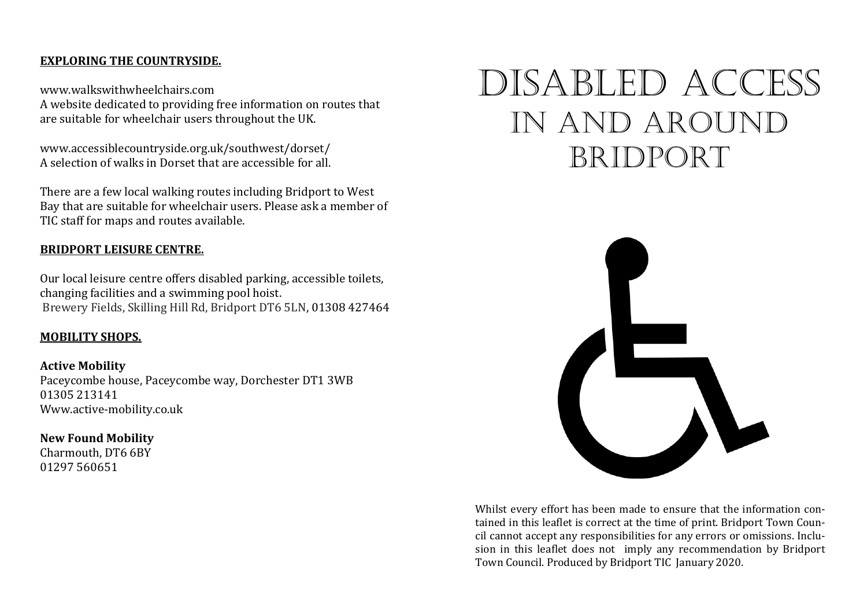#### **EXPLORING THE COUNTRYSIDE.**

www.walkswithwheelchairs.com A website dedicated to providing free information on routes that are suitable for wheelchair users throughout the UK.

www.accessiblecountryside.org.uk/southwest/dorset/ A selection of walks in Dorset that are accessible for all.

There are a few local walking routes including Bridport to West Bay that are suitable for wheelchair users. Please ask a member of TIC staff for maps and routes available.

#### **BRIDPORT LEISURE CENTRE.**

Our local leisure centre offers disabled parking, accessible toilets, changing facilities and a swimming pool hoist. Brewery Fields, Skilling Hill Rd, Bridport DT6 5LN, 01308 427464

#### **MOBILITY SHOPS.**

**Active Mobility**  Paceycombe house, Paceycombe way, Dorchester DT1 3WB 01305 213141 Www.active-mobility.co.uk

#### **New Found Mobility**

Charmouth, DT6 6BY 01297 560651

# DiSABLED Access In and around bridport



Whilst every effort has been made to ensure that the information contained in this leaflet is correct at the time of print. Bridport Town Council cannot accept any responsibilities for any errors or omissions. Inclusion in this leaflet does not imply any recommendation by Bridport Town Council. Produced by Bridport TIC January 2020.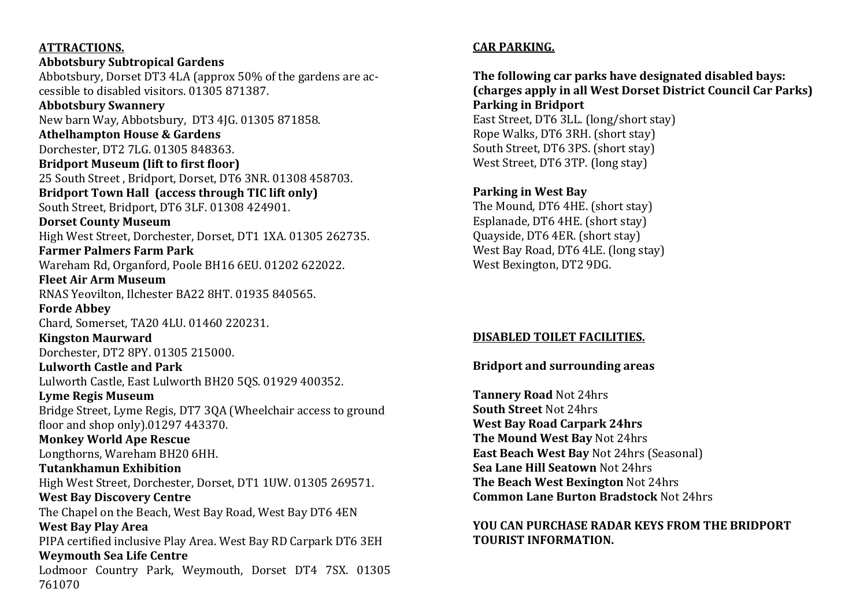#### **ATTRACTIONS.**

#### **Abbotsbury Subtropical Gardens**  Abbotsbury, Dorset DT3 4LA (approx 50% of the gardens are accessible to disabled visitors. 01305 871387. **Abbotsbury Swannery** New barn Way, Abbotsbury, DT3 4JG. 01305 871858. **Athelhampton House & Gardens** Dorchester, DT2 7LG. 01305 848363. **Bridport Museum (lift to first floor)** 25 South Street , Bridport, Dorset, DT6 3NR. 01308 458703. **Bridport Town Hall (access through TIC lift only)** South Street, Bridport, DT6 3LF. 01308 424901. **Dorset County Museum**  High West Street, Dorchester, Dorset, DT1 1XA. 01305 262735. **Farmer Palmers Farm Park**  Wareham Rd, Organford, Poole BH16 6EU. 01202 622022. **Fleet Air Arm Museum**  RNAS Yeovilton, Ilchester BA22 8HT. 01935 840565. **Forde Abbey**  Chard, Somerset, TA20 4LU. 01460 220231. **Kingston Maurward**  Dorchester, DT2 8PY. 01305 215000. **Lulworth Castle and Park**  Lulworth Castle, East Lulworth BH20 5QS. 01929 400352. **Lyme Regis Museum**  Bridge Street, Lyme Regis, DT7 3QA (Wheelchair access to ground floor and shop only).01297 443370. **Monkey World Ape Rescue**  Longthorns, Wareham BH20 6HH. **Tutankhamun Exhibition**  High West Street, Dorchester, Dorset, DT1 1UW. 01305 269571. **West Bay Discovery Centre** The Chapel on the Beach, West Bay Road, West Bay DT6 4EN **West Bay Play Area**

PIPA certified inclusive Play Area. West Bay RD Carpark DT6 3EH **Weymouth Sea Life Centre**  Lodmoor Country Park, Weymouth, Dorset DT4 7SX. 01305 761070

## **CAR PARKING.**

## **The following car parks have designated disabled bays: (charges apply in all West Dorset District Council Car Parks) Parking in Bridport**  East Street, DT6 3LL. (long/short stay)

Rope Walks, DT6 3RH. (short stay) South Street, DT6 3PS. (short stay) West Street, DT6 3TP. (long stay)

## **Parking in West Bay**

The Mound, DT6 4HE. (short stay) Esplanade, DT6 4HE. (short stay) Quayside, DT6 4ER. (short stay) West Bay Road, DT6 4LE. (long stay) West Bexington, DT2 9DG.

### **DISABLED TOILET FACILITIES.**

### **Bridport and surrounding areas**

**Tannery Road** Not 24hrs **South Street** Not 24hrs **West Bay Road Carpark 24hrs The Mound West Bay** Not 24hrs **East Beach West Bay** Not 24hrs (Seasonal) **Sea Lane Hill Seatown** Not 24hrs **The Beach West Bexington** Not 24hrs **Common Lane Burton Bradstock** Not 24hrs

### **YOU CAN PURCHASE RADAR KEYS FROM THE BRIDPORT TOURIST INFORMATION.**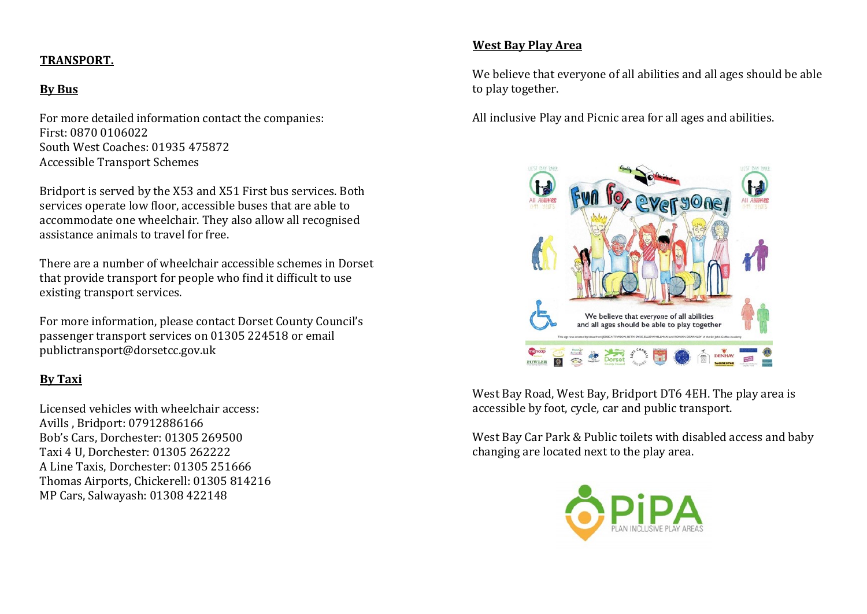## **TRANSPORT.**

## **By Bus**

For more detailed information contact the companies: First: 0870 0106022 South West Coaches: 01935 475872 Accessible Transport Schemes

Bridport is served by the X53 and X51 First bus services. Both services operate low floor, accessible buses that are able to accommodate one wheelchair. They also allow all recognised assistance animals to travel for free.

There are a number of wheelchair accessible schemes in Dorset that provide transport for people who find it difficult to use existing transport services.

For more information, please contact Dorset County Council's passenger transport services on 01305 224518 or email publictransport@dorsetcc.gov.uk

## **By Taxi**

Licensed vehicles with wheelchair access: Avills , Bridport: 07912886166 Bob's Cars, Dorchester: 01305 269500 Taxi 4 U, Dorchester: 01305 262222 A Line Taxis, Dorchester: 01305 251666 Thomas Airports, Chickerell: 01305 814216 MP Cars, Salwayash: 01308 422148

### **West Bay Play Area**

We believe that everyone of all abilities and all ages should be able to play together.

All inclusive Play and Picnic area for all ages and abilities.



West Bay Road, West Bay, Bridport DT6 4EH. The play area is accessible by foot, cycle, car and public transport.

West Bay Car Park & Public toilets with disabled access and baby changing are located next to the play area.